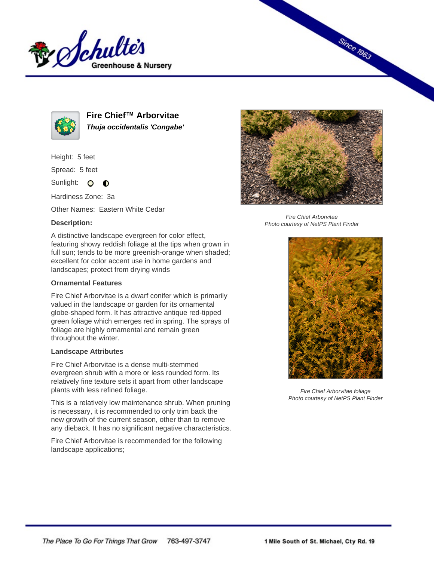



**Fire Chief™ Arborvitae Thuja occidentalis 'Congabe'**

Height: 5 feet

Spread: 5 feet

Sunlight: O **O** 

Hardiness Zone: 3a

Other Names: Eastern White Cedar

## **Description:**



**Since 1963** 

Fire Chief Arborvitae Photo courtesy of NetPS Plant Finder

A distinctive landscape evergreen for color effect, featuring showy reddish foliage at the tips when grown in full sun; tends to be more greenish-orange when shaded; excellent for color accent use in home gardens and landscapes; protect from drying winds

## **Ornamental Features**

Fire Chief Arborvitae is a dwarf conifer which is primarily valued in the landscape or garden for its ornamental globe-shaped form. It has attractive antique red-tipped green foliage which emerges red in spring. The sprays of foliage are highly ornamental and remain green throughout the winter.

## **Landscape Attributes**

Fire Chief Arborvitae is a dense multi-stemmed evergreen shrub with a more or less rounded form. Its relatively fine texture sets it apart from other landscape plants with less refined foliage.

This is a relatively low maintenance shrub. When pruning is necessary, it is recommended to only trim back the new growth of the current season, other than to remove any dieback. It has no significant negative characteristics.

Fire Chief Arborvitae is recommended for the following landscape applications;



Fire Chief Arborvitae foliage Photo courtesy of NetPS Plant Finder